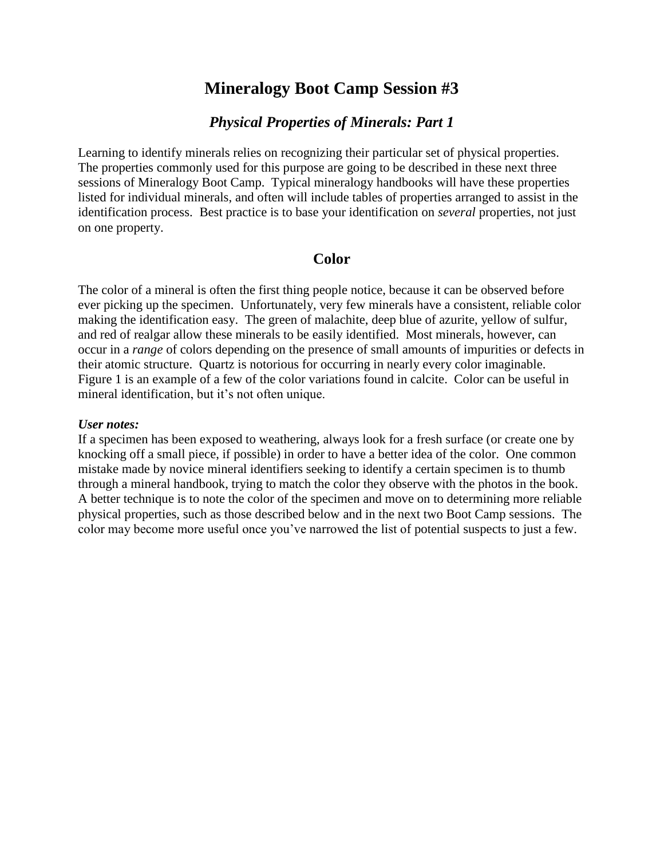# **Mineralogy Boot Camp Session #3**

## *Physical Properties of Minerals: Part 1*

Learning to identify minerals relies on recognizing their particular set of physical properties. The properties commonly used for this purpose are going to be described in these next three sessions of Mineralogy Boot Camp. Typical mineralogy handbooks will have these properties listed for individual minerals, and often will include tables of properties arranged to assist in the identification process. Best practice is to base your identification on *several* properties, not just on one property.

### **Color**

The color of a mineral is often the first thing people notice, because it can be observed before ever picking up the specimen. Unfortunately, very few minerals have a consistent, reliable color making the identification easy. The green of malachite, deep blue of azurite, yellow of sulfur, and red of realgar allow these minerals to be easily identified. Most minerals, however, can occur in a *range* of colors depending on the presence of small amounts of impurities or defects in their atomic structure. Quartz is notorious for occurring in nearly every color imaginable. Figure 1 is an example of a few of the color variations found in calcite. Color can be useful in mineral identification, but it's not often unique.

#### *User notes:*

If a specimen has been exposed to weathering, always look for a fresh surface (or create one by knocking off a small piece, if possible) in order to have a better idea of the color. One common mistake made by novice mineral identifiers seeking to identify a certain specimen is to thumb through a mineral handbook, trying to match the color they observe with the photos in the book. A better technique is to note the color of the specimen and move on to determining more reliable physical properties, such as those described below and in the next two Boot Camp sessions. The color may become more useful once you've narrowed the list of potential suspects to just a few.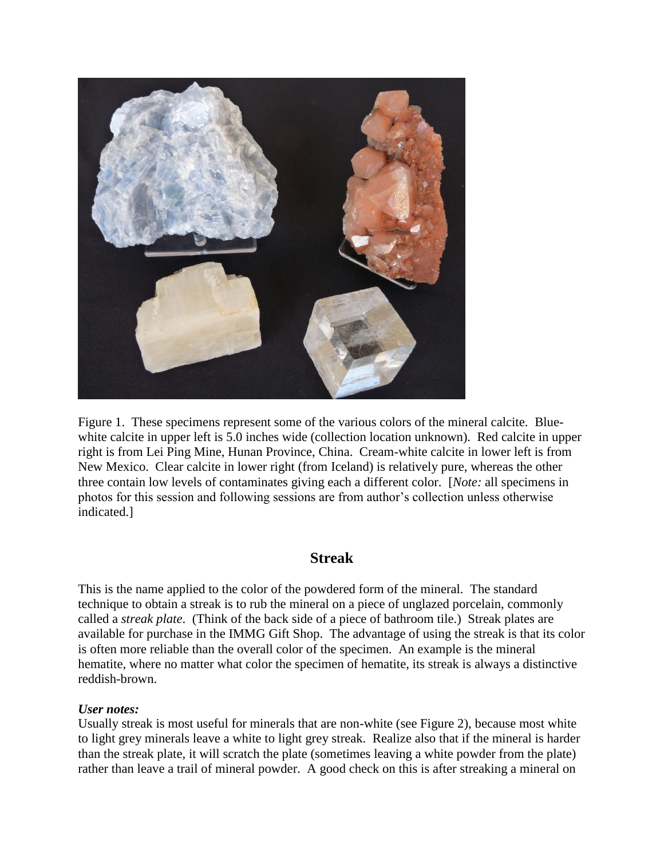

Figure 1. These specimens represent some of the various colors of the mineral calcite. Bluewhite calcite in upper left is 5.0 inches wide (collection location unknown). Red calcite in upper right is from Lei Ping Mine, Hunan Province, China. Cream-white calcite in lower left is from New Mexico. Clear calcite in lower right (from Iceland) is relatively pure, whereas the other three contain low levels of contaminates giving each a different color. [*Note:* all specimens in photos for this session and following sessions are from author's collection unless otherwise indicated.]

# **Streak**

This is the name applied to the color of the powdered form of the mineral. The standard technique to obtain a streak is to rub the mineral on a piece of unglazed porcelain, commonly called a *streak plate*. (Think of the back side of a piece of bathroom tile.) Streak plates are available for purchase in the IMMG Gift Shop. The advantage of using the streak is that its color is often more reliable than the overall color of the specimen. An example is the mineral hematite, where no matter what color the specimen of hematite, its streak is always a distinctive reddish-brown.

### *User notes:*

Usually streak is most useful for minerals that are non-white (see Figure 2), because most white to light grey minerals leave a white to light grey streak. Realize also that if the mineral is harder than the streak plate, it will scratch the plate (sometimes leaving a white powder from the plate) rather than leave a trail of mineral powder. A good check on this is after streaking a mineral on